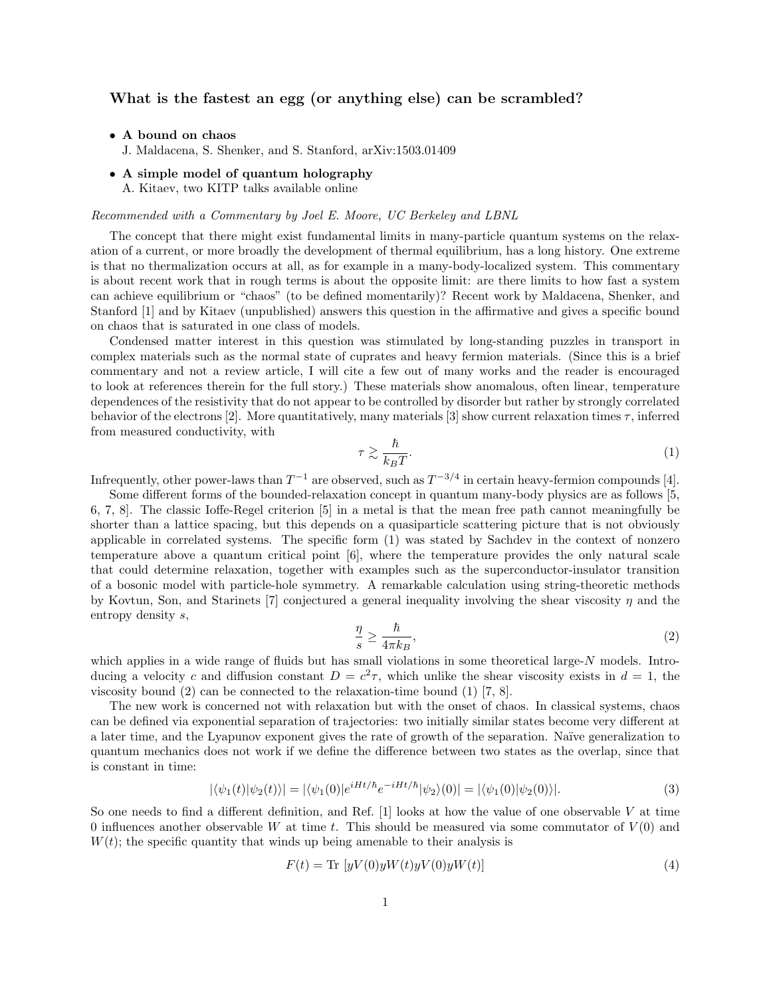## What is the fastest an egg (or anything else) can be scrambled?

- A bound on chaos
	- J. Maldacena, S. Shenker, and S. Stanford, arXiv:1503.01409
- A simple model of quantum holography A. Kitaev, two KITP talks available online

## Recommended with a Commentary by Joel E. Moore, UC Berkeley and LBNL

The concept that there might exist fundamental limits in many-particle quantum systems on the relaxation of a current, or more broadly the development of thermal equilibrium, has a long history. One extreme is that no thermalization occurs at all, as for example in a many-body-localized system. This commentary is about recent work that in rough terms is about the opposite limit: are there limits to how fast a system can achieve equilibrium or "chaos" (to be defined momentarily)? Recent work by Maldacena, Shenker, and Stanford [1] and by Kitaev (unpublished) answers this question in the affirmative and gives a specific bound on chaos that is saturated in one class of models.

Condensed matter interest in this question was stimulated by long-standing puzzles in transport in complex materials such as the normal state of cuprates and heavy fermion materials. (Since this is a brief commentary and not a review article, I will cite a few out of many works and the reader is encouraged to look at references therein for the full story.) These materials show anomalous, often linear, temperature dependences of the resistivity that do not appear to be controlled by disorder but rather by strongly correlated behavior of the electrons [2]. More quantitatively, many materials [3] show current relaxation times  $\tau$ , inferred from measured conductivity, with

$$
\tau \gtrsim \frac{\hbar}{k_B T}.\tag{1}
$$

Infrequently, other power-laws than  $T^{-1}$  are observed, such as  $T^{-3/4}$  in certain heavy-fermion compounds [4].

Some different forms of the bounded-relaxation concept in quantum many-body physics are as follows [5, 6, 7, 8]. The classic Ioffe-Regel criterion [5] in a metal is that the mean free path cannot meaningfully be shorter than a lattice spacing, but this depends on a quasiparticle scattering picture that is not obviously applicable in correlated systems. The specific form (1) was stated by Sachdev in the context of nonzero temperature above a quantum critical point [6], where the temperature provides the only natural scale that could determine relaxation, together with examples such as the superconductor-insulator transition of a bosonic model with particle-hole symmetry. A remarkable calculation using string-theoretic methods by Kovtun, Son, and Starinets [7] conjectured a general inequality involving the shear viscosity  $\eta$  and the entropy density s,

$$
\frac{\eta}{s} \ge \frac{\hbar}{4\pi k_B},\tag{2}
$$

which applies in a wide range of fluids but has small violations in some theoretical large-N models. Introducing a velocity c and diffusion constant  $D = c^2 \tau$ , which unlike the shear viscosity exists in  $d = 1$ , the viscosity bound (2) can be connected to the relaxation-time bound (1) [7, 8].

The new work is concerned not with relaxation but with the onset of chaos. In classical systems, chaos can be defined via exponential separation of trajectories: two initially similar states become very different at a later time, and the Lyapunov exponent gives the rate of growth of the separation. Na¨ıve generalization to quantum mechanics does not work if we define the difference between two states as the overlap, since that is constant in time:

$$
|\langle \psi_1(t)|\psi_2(t)\rangle| = |\langle \psi_1(0)|e^{iHt/\hbar}e^{-iHt/\hbar}|\psi_2\rangle(0)| = |\langle \psi_1(0)|\psi_2(0)\rangle|.
$$
 (3)

So one needs to find a different definition, and Ref.  $[1]$  looks at how the value of one observable V at time 0 influences another observable W at time t. This should be measured via some commutator of  $V(0)$  and  $W(t)$ ; the specific quantity that winds up being amenable to their analysis is

$$
F(t) = \text{Tr}\left[yV(0)yW(t)yV(0)yW(t)\right]
$$
\n
$$
\tag{4}
$$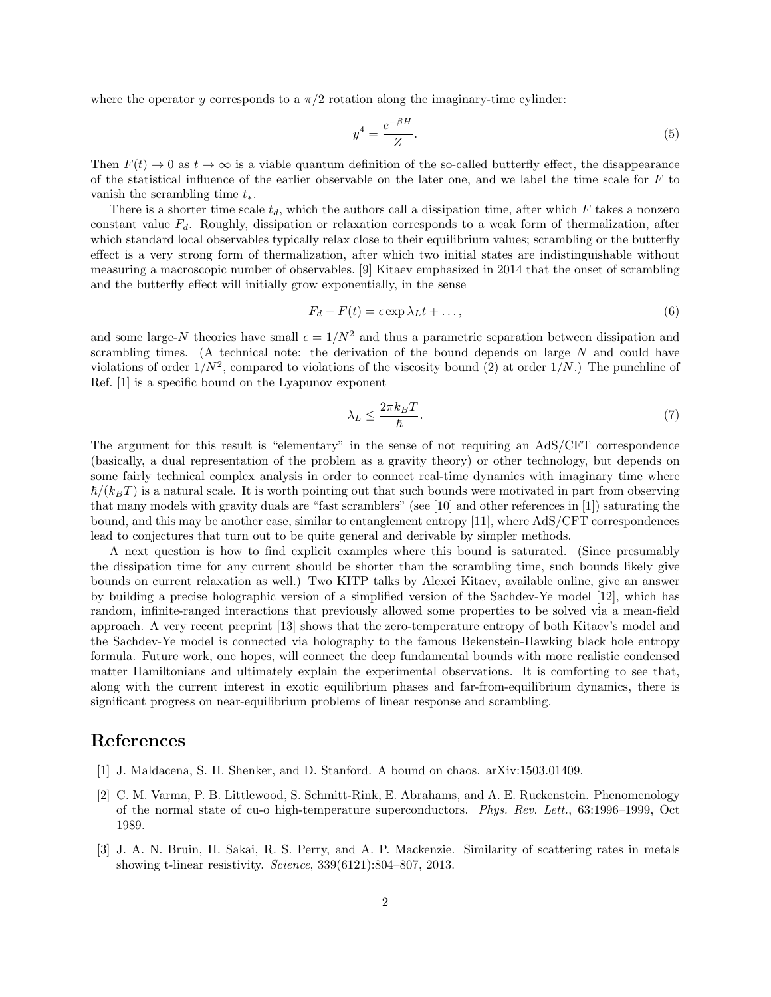where the operator y corresponds to a  $\pi/2$  rotation along the imaginary-time cylinder:

$$
y^4 = \frac{e^{-\beta H}}{Z}.\tag{5}
$$

Then  $F(t) \to 0$  as  $t \to \infty$  is a viable quantum definition of the so-called butterfly effect, the disappearance of the statistical influence of the earlier observable on the later one, and we label the time scale for  $F$  to vanish the scrambling time  $t_*.$ 

There is a shorter time scale  $t_d$ , which the authors call a dissipation time, after which F takes a nonzero constant value  $F_d$ . Roughly, dissipation or relaxation corresponds to a weak form of thermalization, after which standard local observables typically relax close to their equilibrium values; scrambling or the butterfly effect is a very strong form of thermalization, after which two initial states are indistinguishable without measuring a macroscopic number of observables. [9] Kitaev emphasized in 2014 that the onset of scrambling and the butterfly effect will initially grow exponentially, in the sense

$$
F_d - F(t) = \epsilon \exp \lambda_L t + \dots,\tag{6}
$$

and some large-N theories have small  $\epsilon = 1/N^2$  and thus a parametric separation between dissipation and scrambling times. (A technical note: the derivation of the bound depends on large  $N$  and could have violations of order  $1/N^2$ , compared to violations of the viscosity bound (2) at order  $1/N$ .) The punchline of Ref. [1] is a specific bound on the Lyapunov exponent

$$
\lambda_L \le \frac{2\pi k_B T}{\hbar}.\tag{7}
$$

The argument for this result is "elementary" in the sense of not requiring an AdS/CFT correspondence (basically, a dual representation of the problem as a gravity theory) or other technology, but depends on some fairly technical complex analysis in order to connect real-time dynamics with imaginary time where  $\hbar/(k_BT)$  is a natural scale. It is worth pointing out that such bounds were motivated in part from observing that many models with gravity duals are "fast scramblers" (see [10] and other references in [1]) saturating the bound, and this may be another case, similar to entanglement entropy [11], where AdS/CFT correspondences lead to conjectures that turn out to be quite general and derivable by simpler methods.

A next question is how to find explicit examples where this bound is saturated. (Since presumably the dissipation time for any current should be shorter than the scrambling time, such bounds likely give bounds on current relaxation as well.) Two KITP talks by Alexei Kitaev, available online, give an answer by building a precise holographic version of a simplified version of the Sachdev-Ye model [12], which has random, infinite-ranged interactions that previously allowed some properties to be solved via a mean-field approach. A very recent preprint [13] shows that the zero-temperature entropy of both Kitaev's model and the Sachdev-Ye model is connected via holography to the famous Bekenstein-Hawking black hole entropy formula. Future work, one hopes, will connect the deep fundamental bounds with more realistic condensed matter Hamiltonians and ultimately explain the experimental observations. It is comforting to see that, along with the current interest in exotic equilibrium phases and far-from-equilibrium dynamics, there is significant progress on near-equilibrium problems of linear response and scrambling.

## References

- [1] J. Maldacena, S. H. Shenker, and D. Stanford. A bound on chaos. arXiv:1503.01409.
- [2] C. M. Varma, P. B. Littlewood, S. Schmitt-Rink, E. Abrahams, and A. E. Ruckenstein. Phenomenology of the normal state of cu-o high-temperature superconductors. Phys. Rev. Lett., 63:1996–1999, Oct 1989.
- [3] J. A. N. Bruin, H. Sakai, R. S. Perry, and A. P. Mackenzie. Similarity of scattering rates in metals showing t-linear resistivity. Science, 339(6121):804–807, 2013.